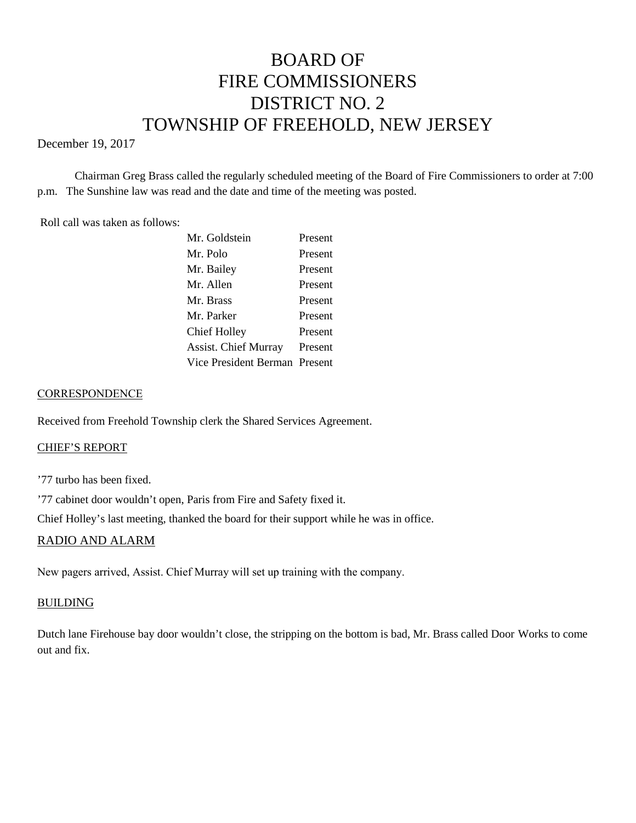# BOARD OF FIRE COMMISSIONERS DISTRICT NO. 2 TOWNSHIP OF FREEHOLD, NEW JERSEY

## December 19, 2017

Chairman Greg Brass called the regularly scheduled meeting of the Board of Fire Commissioners to order at 7:00 p.m. The Sunshine law was read and the date and time of the meeting was posted.

#### Roll call was taken as follows:

| Mr. Goldstein                 | Present |
|-------------------------------|---------|
| Mr. Polo                      | Present |
| Mr. Bailey                    | Present |
| Mr. Allen                     | Present |
| Mr. Brass                     | Present |
| Mr. Parker                    | Present |
| Chief Holley                  | Present |
| <b>Assist. Chief Murray</b>   | Present |
| Vice President Berman Present |         |

## **CORRESPONDENCE**

Received from Freehold Township clerk the Shared Services Agreement.

#### CHIEF'S REPORT

'77 turbo has been fixed.

'77 cabinet door wouldn't open, Paris from Fire and Safety fixed it.

Chief Holley's last meeting, thanked the board for their support while he was in office.

# RADIO AND ALARM

New pagers arrived, Assist. Chief Murray will set up training with the company.

#### BUILDING

Dutch lane Firehouse bay door wouldn't close, the stripping on the bottom is bad, Mr. Brass called Door Works to come out and fix.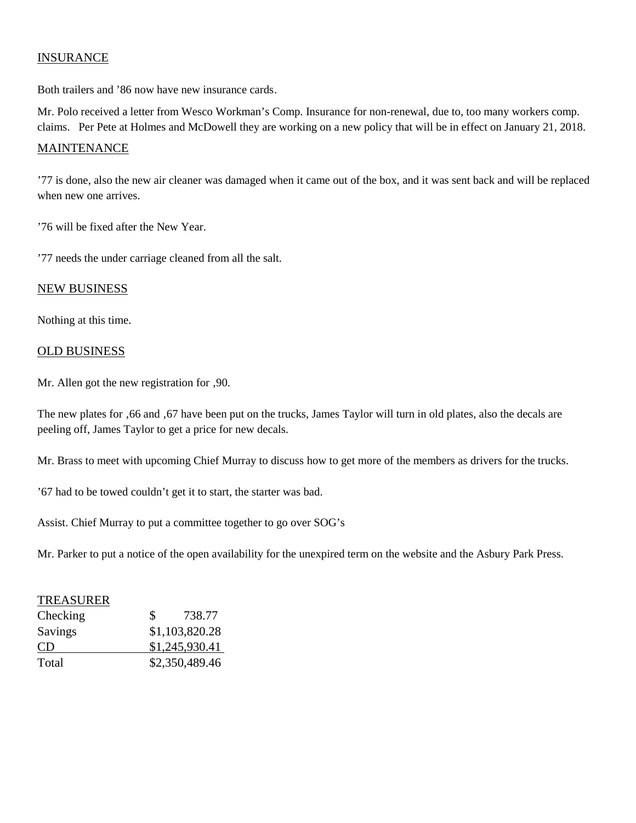# INSURANCE

Both trailers and '86 now have new insurance cards.

Mr. Polo received a letter from Wesco Workman's Comp. Insurance for non-renewal, due to, too many workers comp. claims. Per Pete at Holmes and McDowell they are working on a new policy that will be in effect on January 21, 2018.

# **MAINTENANCE**

'77 is done, also the new air cleaner was damaged when it came out of the box, and it was sent back and will be replaced when new one arrives.

'76 will be fixed after the New Year.

'77 needs the under carriage cleaned from all the salt.

#### NEW BUSINESS

Nothing at this time.

#### OLD BUSINESS

Mr. Allen got the new registration for ,90.

The new plates for '66 and '67 have been put on the trucks, James Taylor will turn in old plates, also the decals are peeling off, James Taylor to get a price for new decals.

Mr. Brass to meet with upcoming Chief Murray to discuss how to get more of the members as drivers for the trucks.

'67 had to be towed couldn't get it to start, the starter was bad.

Assist. Chief Murray to put a committee together to go over SOG's

Mr. Parker to put a notice of the open availability for the unexpired term on the website and the Asbury Park Press.

# TREASURER

| Checking  | 738.77<br>S.   |
|-----------|----------------|
| Savings   | \$1,103,820.28 |
| <b>CD</b> | \$1,245,930.41 |
| Total     | \$2,350,489.46 |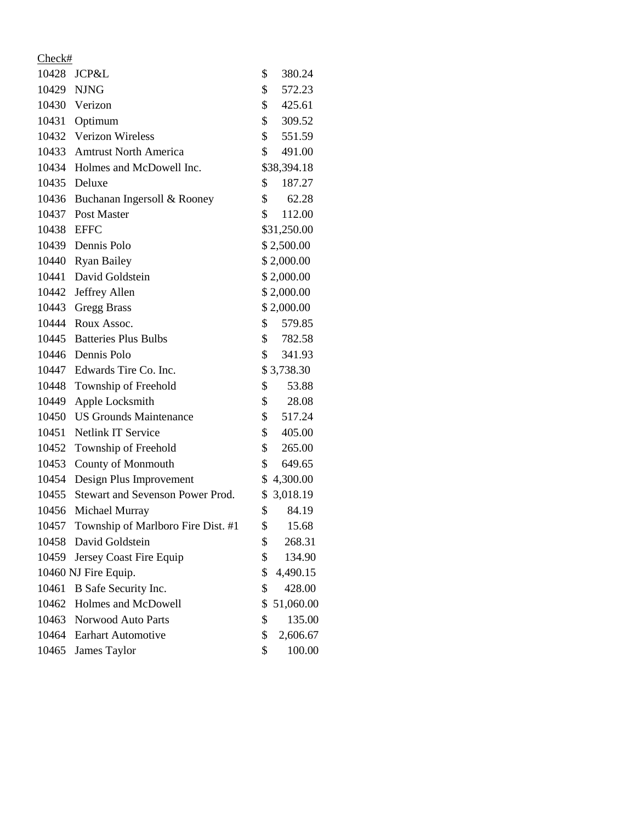| Check#     |                                    |                 |
|------------|------------------------------------|-----------------|
|            | 10428 JCP&L                        | \$<br>380.24    |
| 10429      | <b>NJNG</b>                        | \$<br>572.23    |
|            | 10430 Verizon                      | \$<br>425.61    |
|            | 10431 Optimum                      | \$<br>309.52    |
|            | 10432 Verizon Wireless             | \$<br>551.59    |
|            | 10433 Amtrust North America        | \$<br>491.00    |
|            | 10434 Holmes and McDowell Inc.     | \$38,394.18     |
|            | 10435 Deluxe                       | \$<br>187.27    |
|            | 10436 Buchanan Ingersoll & Rooney  | \$<br>62.28     |
| 10437      | Post Master                        | \$<br>112.00    |
| 10438 EFFC |                                    | \$31,250.00     |
|            | 10439 Dennis Polo                  | \$2,500.00      |
|            | 10440 Ryan Bailey                  | \$2,000.00      |
|            | 10441 David Goldstein              | \$2,000.00      |
|            | 10442 Jeffrey Allen                | \$2,000.00      |
|            | 10443 Gregg Brass                  | \$2,000.00      |
|            | 10444 Roux Assoc.                  | \$<br>579.85    |
|            | 10445 Batteries Plus Bulbs         | \$<br>782.58    |
|            | 10446 Dennis Polo                  | \$<br>341.93    |
|            | 10447 Edwards Tire Co. Inc.        | \$3,738.30      |
|            | 10448 Township of Freehold         | \$<br>53.88     |
| 10449      | Apple Locksmith                    | \$<br>28.08     |
|            | 10450 US Grounds Maintenance       | \$<br>517.24    |
| 10451      | <b>Netlink IT Service</b>          | \$<br>405.00    |
|            | 10452 Township of Freehold         | \$<br>265.00    |
| 10453      | <b>County of Monmouth</b>          | \$<br>649.65    |
| 10454      | Design Plus Improvement            | \$4,300.00      |
| 10455      | Stewart and Sevenson Power Prod.   | \$ 3,018.19     |
| 10456      | Michael Murray                     | \$<br>84.19     |
| 10457      | Township of Marlboro Fire Dist. #1 | \$<br>15.68     |
| 10458      | David Goldstein                    | \$<br>268.31    |
| 10459      | Jersey Coast Fire Equip            | \$<br>134.90    |
|            | 10460 NJ Fire Equip.               | \$<br>4,490.15  |
| 10461      | B Safe Security Inc.               | \$<br>428.00    |
|            | 10462 Holmes and McDowell          | \$<br>51,060.00 |
| 10463      | Norwood Auto Parts                 | \$<br>135.00    |
| 10464      | <b>Earhart Automotive</b>          | \$<br>2,606.67  |
| 10465      | James Taylor                       | \$<br>100.00    |